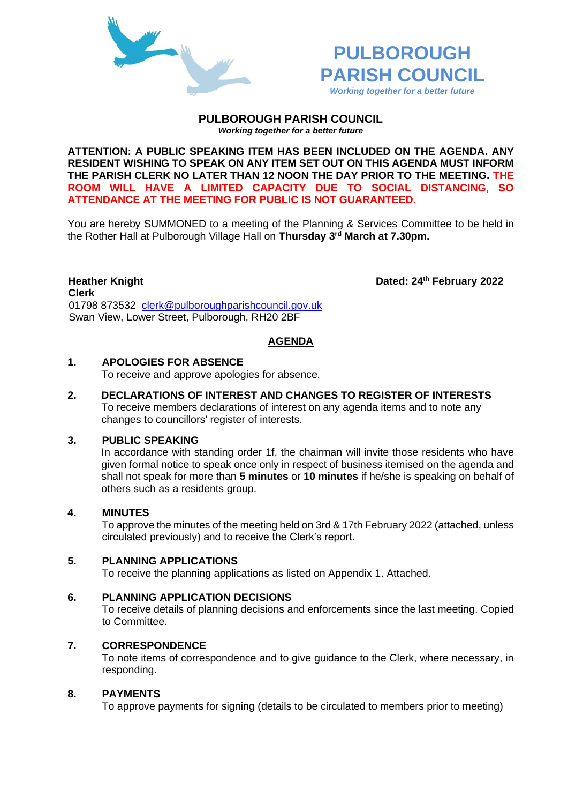



#### **PULBOROUGH PARISH COUNCIL** *Working together for a better future*

**ATTENTION: A PUBLIC SPEAKING ITEM HAS BEEN INCLUDED ON THE AGENDA. ANY RESIDENT WISHING TO SPEAK ON ANY ITEM SET OUT ON THIS AGENDA MUST INFORM THE PARISH CLERK NO LATER THAN 12 NOON THE DAY PRIOR TO THE MEETING. THE ROOM WILL HAVE A LIMITED CAPACITY DUE TO SOCIAL DISTANCING, SO ATTENDANCE AT THE MEETING FOR PUBLIC IS NOT GUARANTEED.**

You are hereby SUMMONED to a meeting of the Planning & Services Committee to be held in the Rother Hall at Pulborough Village Hall on **Thursday 3 rd March at 7.30pm.** 

**Heather Knight Dated: 24<sup>th</sup> February 2022 Clerk**  01798 873532 [clerk@pulboroughparishcouncil.gov.uk](mailto:clerk@pulboroughparishcouncil.gov.uk) Swan View, Lower Street, Pulborough, RH20 2BF

## **AGENDA**

# **1. APOLOGIES FOR ABSENCE**

To receive and approve apologies for absence.

**2. DECLARATIONS OF INTEREST AND CHANGES TO REGISTER OF INTERESTS** To receive members declarations of interest on any agenda items and to note any changes to councillors' register of interests.

## **3. PUBLIC SPEAKING**

In accordance with standing order 1f, the chairman will invite those residents who have given formal notice to speak once only in respect of business itemised on the agenda and shall not speak for more than **5 minutes** or **10 minutes** if he/she is speaking on behalf of others such as a residents group.

## **4. MINUTES**

To approve the minutes of the meeting held on 3rd & 17th February 2022 (attached, unless circulated previously) and to receive the Clerk's report.

# **5. PLANNING APPLICATIONS**

To receive the planning applications as listed on Appendix 1. Attached.

## **6. PLANNING APPLICATION DECISIONS**

To receive details of planning decisions and enforcements since the last meeting. Copied to Committee.

## **7. CORRESPONDENCE**

To note items of correspondence and to give guidance to the Clerk, where necessary, in responding.

#### **8. PAYMENTS**

To approve payments for signing (details to be circulated to members prior to meeting)